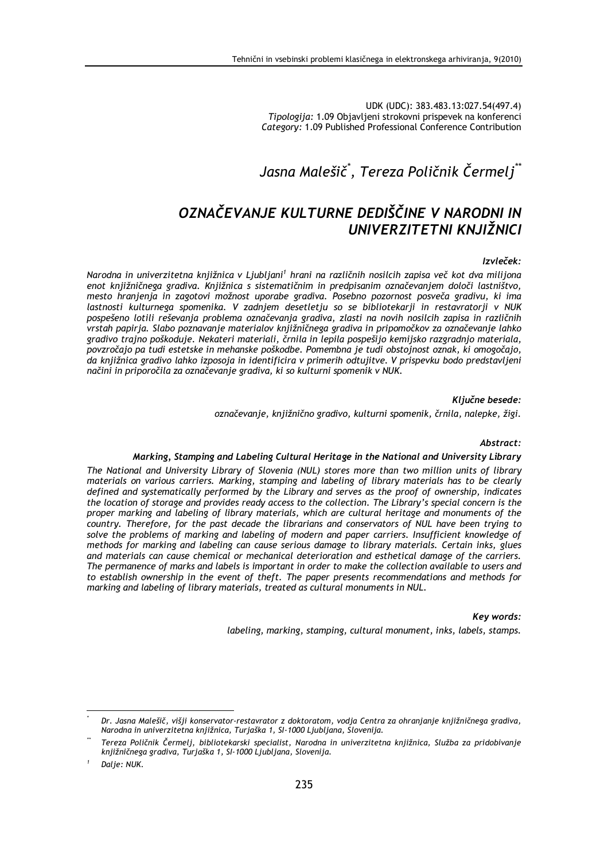UDK (UDC): 383.483.13:027.54(497.4) Tipologija: 1.09 Objavljeni strokovni prispevek na konferenci Category: 1.09 Published Professional Conference Contribution

# Jasna Malešič<sup>\*</sup>, Tereza Poličnik Čermelj<sup>\*\*</sup>

# OZNAČEVANJE KULTURNE DEDIŠČINE V NARODNI IN UNIVERZITETNI KNJIŽNICI

#### Izvleček:

Narodna in univerzitetna kniižnica v Liubliani<sup>1</sup> hrani na različnih nosilcih zapisa več kot dva milijona enot knjižničnega gradiva. Knjižnica s sistematičnim in predpisanim označevanjem določi lastništvo, mesto hranjenja in zagotovi možnost uporabe gradiva. Posebno pozornost posveča gradivu, ki ima lastnosti kulturnega spomenika. V zadnjem desetletju so se bibliotekarji in restavratorji v NUK pospešeno lotili reševanja problema označevanja gradiva, zlasti na novih nosilcih zapisa in različnih vrstah papirja. Slabo poznavanje materialov knjižničnega gradiva in pripomočkov za označevanje lahko gradivo trajno poškoduje. Nekateri materiali, črnila in lepila pospešijo kemijsko razgradnjo materiala, povzročajo pa tudi estetske in mehanske poškodbe. Pomembna je tudi obstojnost oznak, ki omogočajo, da knjižnica gradivo lahko izposoja in identificira v primerih odtujitve. V prispevku bodo predstavljeni načini in priporočila za označevanje gradiva, ki so kulturni spomenik v NUK.

Ključne besede:

označevanje, knjižnično gradivo, kulturni spomenik, črnila, nalepke, žigi.

Abstract:

#### Marking, Stamping and Labeling Cultural Heritage in the National and University Library

The National and University Library of Slovenia (NUL) stores more than two million units of library materials on various carriers. Marking, stamping and labeling of library materials has to be clearly defined and systematically performed by the Library and serves as the proof of ownership, indicates the location of storage and provides ready access to the collection. The Library's special concern is the proper marking and labeling of library materials, which are cultural heritage and monuments of the country. Therefore, for the past decade the librarians and conservators of NUL have been trying to solve the problems of marking and labeling of modern and paper carriers. Insufficient knowledge of methods for marking and labeling can cause serious damage to library materials. Certain inks, glues and materials can cause chemical or mechanical deterioration and esthetical damage of the carriers. The permanence of marks and labels is important in order to make the collection available to users and to establish ownership in the event of theft. The paper presents recommendations and methods for marking and labeling of library materials, treated as cultural monuments in NUL.

#### Key words:

labeling, marking, stamping, cultural monument, inks, labels, stamps.

Dr. Jasna Malešič, višji konservator-restavrator z doktoratom, vodja Centra za ohranjanje knjižničnega gradiva, Narodna in univerzitetna knjižnica, Turjaška 1, SI-1000 Ljubljana, Slovenija.

Tereza Poličnik Čermelj, bibliotekarski specialist, Narodna in univerzitetna knjižnica, Služba za pridobivanje knjižničnega gradiva, Turjaška 1, SI-1000 Ljubljana, Slovenija.

Dalje: NUK.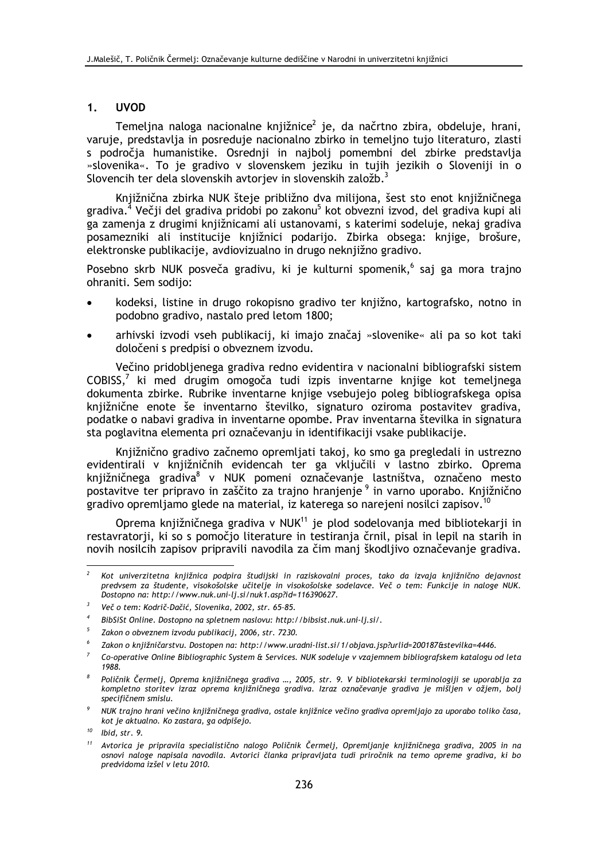#### $1.$ **UVOD**

Temeljna naloga nacionalne knjižnice<sup>2</sup> je, da načrtno zbira, obdeluje, hrani, varuje, predstavlja in posreduje nacionalno zbirko in temeljno tujo literaturo, zlasti s področja humanistike. Osrednji in najbolj pomembni del zbirke predstavlja »slovenika«. To je gradivo v slovenskem jeziku in tujih jezikih o Sloveniji in o Slovencih ter dela slovenskih avtoriev in slovenskih založb.

Knjižnična zbirka NUK šteje približno dva milijona, šest sto enot knjižničnega gradiva.<sup>4</sup> Večji del gradiva pridobi po zakonu<sup>5</sup> kot obvezni izvod, del gradiva kupi ali ga zamenja z drugimi knjižnicami ali ustanovami, s katerimi sodeluje, nekaj gradiva posamezniki ali institucije knjižnici podarijo. Zbirka obsega: knjige, brošure, elektronske publikacije, avdiovizualno in drugo neknjižno gradivo.

Posebno skrb NUK posveča gradivu, ki je kulturni spomenik, saj ga mora trajno ohraniti. Sem sodijo:

- kodeksi, listine in drugo rokopisno gradivo ter knjižno, kartografsko, notno in podobno gradivo, nastalo pred letom 1800;
- arhivski izvodi vseh publikacij, ki imajo značaj »slovenike« ali pa so kot taki določeni s predpisi o obveznem izvodu.

Večino pridobljenega gradiva redno evidentira v nacionalni bibliografski sistem COBISS,<sup>7</sup> ki med drugim omogoča tudi izpis inventarne knjige kot temeljnega dokumenta zbirke. Rubrike inventarne knjige vsebujejo poleg bibliografskega opisa knjižnične enote še inventarno številko, signaturo oziroma postavitev gradiva, podatke o nabavi gradiva in inventarne opombe. Prav inventarna številka in signatura sta poglavitna elementa pri označevanju in identifikaciji vsake publikacije.

Knjižnično gradivo začnemo opremljati takoj, ko smo ga pregledali in ustrezno evidentirali v knjižničnih evidencah ter ga vključili v lastno zbirko. Oprema kniižničnega gradiva<sup>8</sup> v NUK pomeni označevanie lastništva, označeno mesto postavitve ter pripravo in zaščito za trajno hranjenje<sup>9</sup> in varno uporabo. Knjižnično gradivo opremljamo glede na material, iz katerega so narejeni nosilci zapisov.<sup>10</sup>

Oprema knjižničnega gradiva v NUK<sup>11</sup> je plod sodelovanja med bibliotekarji in restavratorii, ki so s pomočio literature in testirania črnil, pisal in lepil na starih in novih nosilcih zapisov pripravili navodila za čim manj škodljivo označevanje gradiva.

Kot univerzitetna knjižnica podpira študijski in raziskovalni proces, tako da izvaja knjižnično dejavnost predvsem za študente, visokošolske učitelje in visokošolske sodelavce. Več o tem: Funkcije in naloge NUK. Dostopno na: http://www.nuk.uni-lj.si/nuk1.asp?id=116390627.

Več o tem: Kodrič-Dačić, Slovenika, 2002, str. 65-85.

BibSiSt Online. Dostopno na spletnem naslovu: http://bibsist.nuk.uni-li.si/.

Zakon o obveznem izvodu publikacij, 2006, str. 7230.

Zakon o knjižničarstvu. Dostopen na: http://www.uradni-list.si/1/objava.jsp?urlid=200187&stevilka=4446.

Co-operative Online Bibliographic System & Services, NUK sodeluie v vzajemnem bibliografskem katalogu od leta 1988.

Poličnik Čermelj, Oprema knjižničnega gradiva ..., 2005, str. 9. V bibliotekarski terminologiji se uporablja za kompletno storitev izraz oprema knjižničnega gradiva. Izraz označevanje gradiva je mišljen v ožjem, bolj specifičnem smislu.

 $\degree$  NUK traino hrani večino kniižničnega gradiva, ostale kniižnice večino gradiva opremliajo za uporabo toliko časa. kot je aktualno. Ko zastara, ga odpišejo.

 $10$  Ibid, str. 9.

 $11$ Avtorica je pripravila specialistično nalogo Poličnik Čermelj, Opremljanje knjižničnega gradiva, 2005 in na osnovi naloge napisala navodila. Avtorici članka pripravljata tudi priročnik na temo opreme gradiva, ki bo predvidoma izšel v letu 2010.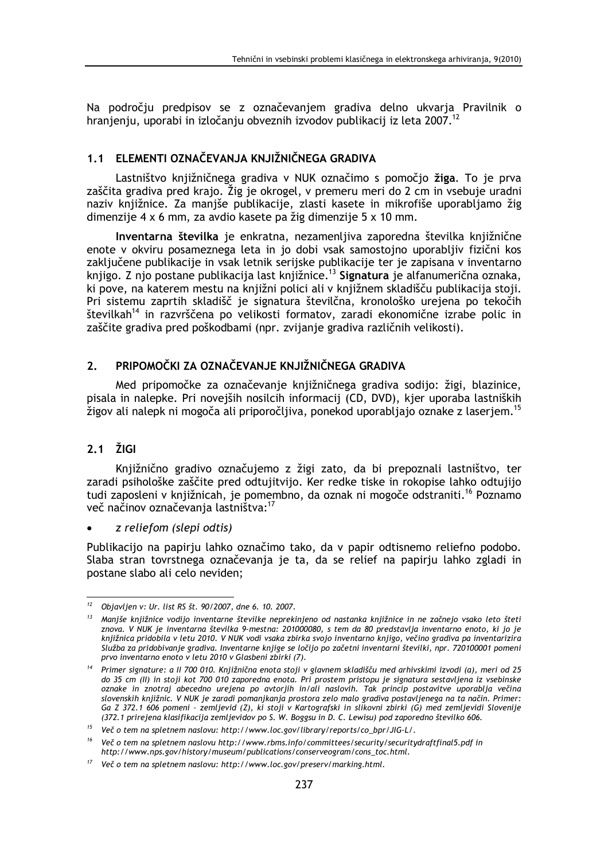Na področju predpisov se z označevanjem gradiva delno ukvarja Pravilnik o hranjenju, uporabi in izločanju obveznih izvodov publikacij iz leta 2007.<sup>12</sup>

## 1.1 ELEMENTI OZNAČEVANJA KNJIŽNIČNEGA GRADIVA

Lastništvo knjižničnega gradiva v NUK označimo s pomočjo žiga. To je prva zaščita gradiva pred krajo. Žig je okrogel, v premeru meri do 2 cm in vsebuje uradni naziv knjižnice. Za manjše publikacije, zlasti kasete in mikrofiše uporabljamo žig dimenzije 4 x 6 mm, za avdio kasete pa žig dimenzije 5 x 10 mm.

Inventarna številka je enkratna, nezamenljiva zaporedna številka knjižnične enote v okviru posameznega leta in jo dobi vsak samostojno uporabljiv fizični kos zaključene publikacije in vsak letnik serijske publikacije ter je zapisana v inventarno knjigo. Z njo postane publikacija last knjižnice.<sup>13</sup> Signatura je alfanumerična oznaka, ki pove, na katerem mestu na knjižni polici ali v knjižnem skladišču publikacija stoji. Pri sistemu zaprtih skladišč je signatura številčna, kronološko urejena po tekočih številkah<sup>14</sup> in razvrščena po velikosti formatov, zaradi ekonomične izrabe polic in zaščite gradiva pred poškodbami (npr. zvijanje gradiva različnih velikosti).

#### PRIPOMOČKI ZA OZNAČEVANJE KNJIŽNIČNEGA GRADIVA  $2<sub>1</sub>$

Med pripomočke za označevanje knjižničnega gradiva sodijo: žigi, blazinice, pisala in nalepke. Pri novejših nosilcih informacij (CD, DVD), kjer uporaba lastniških žigov ali nalepk ni mogoča ali priporočljiva, ponekod uporabljajo oznake z laserjem.<sup>15</sup>

## $2.1$   $\check{Z}$ IGI

Knjižnično gradivo označujemo z žigi zato, da bi prepoznali lastništvo, ter zaradi psihološke zaščite pred odtujitvijo. Ker redke tiske in rokopise lahko odtujijo tudi zaposleni v knjižnicah, je pomembno, da oznak ni mogoče odstraniti.<sup>16</sup> Poznamo več načinov označevanja lastništva:<sup>17</sup>

z reliefom (slepi odtis)

Publikacijo na papirju lahko označimo tako, da v papir odtisnemo reliefno podobo. Slaba stran tovrstnega označevanja je ta, da se relief na papirju lahko zgladi in postane slabo ali celo neviden;

 $12$  Objavljen v: Ur. list RS št. 90/2007, dne 6. 10. 2007.

<sup>&</sup>lt;sup>13</sup> Manjše knjižnice vodijo inventarne številke neprekinjeno od nastanka knjižnice in ne začnejo vsako leto šteti znova. V NUK je inventarna številka 9-mestna: 201000080, s tem da 80 predstavlja inventarno enoto, ki jo je knjižnica pridobila v letu 2010. V NUK vodi vsaka zbirka svojo inventarno knjigo, večino gradiva pa inventarizira Služba za pridobivanje gradiva. Inventarne knjige se ločijo po začetni inventarni številki, npr. 720100001 pomeni prvo inventarno enoto v letu 2010 v Glasbeni zbirki (7).

<sup>&</sup>lt;sup>14</sup> Primer signature: a II 700 010. Knjižnična enota stoji v glavnem skladišču med arhivskimi izvodi (a), meri od 25 do 35 cm (II) in stoji kot 700 010 zaporedna enota. Pri prostem pristopu je signatura sestavljena iz vsebinske oznake in znotraj abecedno urejena po avtorjih in/ali naslovih. Tak princip postavitve uporablja večina slovenskih knjižnic. V NUK je zaradi pomanjkanja prostora zelo malo gradiva postavljenega na ta način. Primer: Ga Z 372.1 606 pomeni - zemljevid (Z), ki stoji v Kartografski in slikovni zbirki (G) med zemljevidi Slovenije (372.1 prirejena klasifikacija zemljevidov po S. W. Boggsu in D. C. Lewisu) pod zaporedno številko 606.

 $15$ Več o tem na spletnem naslovu: http://www.loc.gov/library/reports/co\_bpr/JIG-L/.

<sup>&</sup>lt;sup>16</sup> Več o tem na spletnem naslovu http://www.rbms.info/committees/security/securitydraftfinal5.pdf in http://www.nps.gov/history/museum/publications/conserveogram/cons\_toc.html.

<sup>&</sup>lt;sup>17</sup> Več o tem na spletnem naslovu: http://www.loc.gov/preserv/marking.html.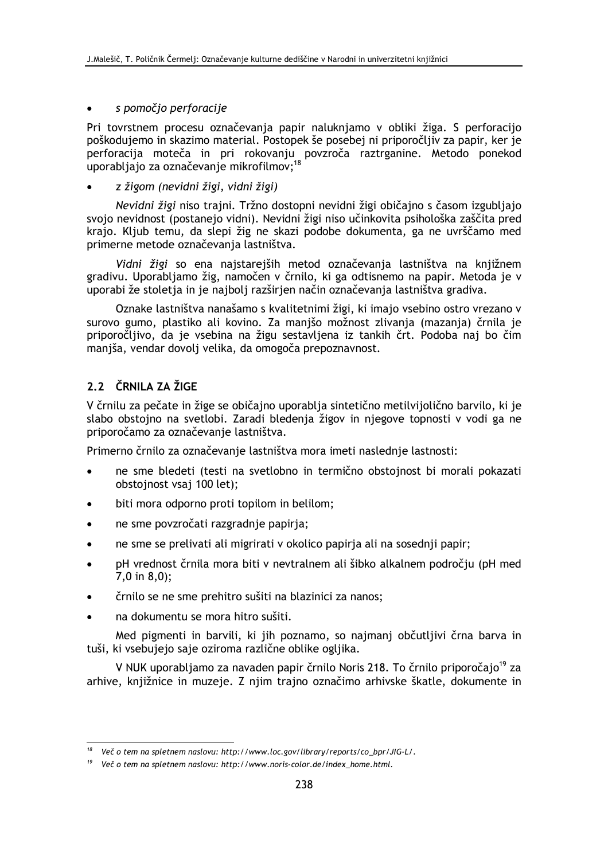#### s pomočjo perforacije

Pri tovrstnem procesu označevanja papir naluknjamo v obliki žiga. S perforacijo poškodujemo in skazimo material. Postopek še posebej ni priporočljiv za papir, ker je perforacija moteča in pri rokovanju povzroča raztrganine. Metodo ponekod<br>uporabljajo za označevanje mikrofilmov;<sup>18</sup>

## z žigom (nevidni žigi, vidni žigi)

Nevidni žigi niso trajni. Tržno dostopni nevidni žigi običajno s časom izgubljajo svojo nevidnost (postanejo vidni). Nevidni žigi niso učinkovita psihološka zaščita pred krajo. Kljub temu, da slepi žig ne skazi podobe dokumenta, ga ne uvrščamo med primerne metode označevanja lastništva.

Vidni žigi so ena najstarejših metod označevanja lastništva na knjižnem gradivu. Uporabljamo žig, namočen v črnilo, ki ga odtisnemo na papir. Metoda je v uporabi že stoletja in je najbolj razširjen način označevanja lastništva gradiva.

Oznake lastništva nanašamo s kvalitetnimi žigi, ki imajo vsebino ostro vrezano v surovo gumo, plastiko ali kovino. Za manišo možnost zlivanja (mazanja) črnila je priporočljivo, da je vsebina na žigu sestavljena iz tankih črt. Podoba naj bo čim manjša, vendar dovolj velika, da omogoča prepoznavnost.

# 2.2 ČRNILA ZA ŽIGE

V črnilu za pečate in žige se običajno uporablja sintetično metilvijolično barvilo, ki je slabo obstojno na svetlobi. Zaradi bledenja žigov in njegove topnosti v vodi ga ne priporočamo za označevanje lastništva.

Primerno črnilo za označevanje lastništva mora imeti naslednje lastnosti:

- ne sme bledeti (testi na svetlobno in termično obstojnost bi morali pokazati obstojnost vsaj 100 let);
- biti mora odporno proti topilom in belilom;
- ne sme povzročati razgradnje papirja;
- ne sme se prelivati ali migrirati v okolico papiria ali na sosednii papir:
- pH vrednost črnila mora biti v nevtralnem ali šibko alkalnem področju (pH med  $7.0$  in  $8.0$ :
- črnilo se ne sme prehitro sušiti na blazinici za nanos;
- na dokumentu se mora hitro sušiti.

Med pigmenti in barvili, ki jih poznamo, so najmani občutljivi črna barva in tuši, ki vsebujejo saje oziroma različne oblike oglijka.

V NUK uporabliamo za navaden papir črnilo Noris 218. To črnilo priporočajo<sup>19</sup> za arhive, knjižnice in muzeje. Z njim trajno označimo arhivske škatle, dokumente in

<sup>&</sup>lt;sup>18</sup> Več o tem na spletnem naslovu: http://www.loc.gov/library/reports/co\_bpr/JIG-L/.

 $19$  Več o tem na spletnem naslovu: http://www.noris-color.de/index\_home.html.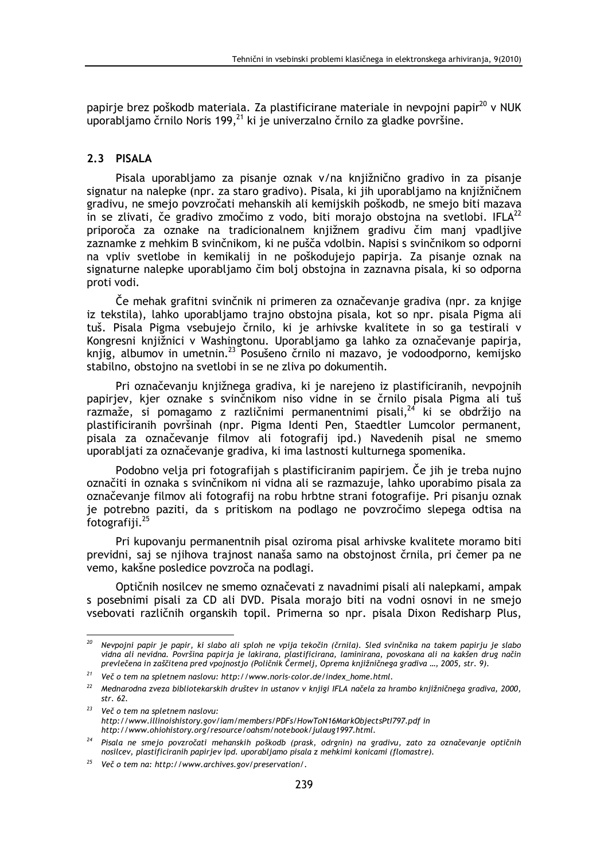papirje brez poškodb materiala. Za plastificirane materiale in nevpojni papir<sup>20</sup> v NUK uporabljamo črnilo Noris 199,<sup>21</sup> ki je univerzalno črnilo za gladke površine.

#### 2.3 PISALA

Pisala uporabljamo za pisanje oznak v/na knjižnično gradivo in za pisanje signatur na nalepke (npr. za staro gradivo). Pisala, ki jih uporabljamo na knjižničnem gradivu, ne smejo povzročati mehanskih ali kemijskih poškodb, ne smejo biti mazava in se zlivati, če gradivo zmočimo z vodo, biti morajo obstojna na svetlobi. IFLA<sup>22</sup> priporoča za oznake na tradicionalnem knjižnem gradivu čim manj vpadljive zaznamke z mehkim B svinčnikom, ki ne pušča vdolbin. Napisi s svinčnikom so odporni na vpliv svetlobe in kemikalij in ne poškodujejo papirja. Za pisanje oznak na signaturne nalepke uporabljamo čim bolj obstojna in zaznavna pisala, ki so odporna proti vodi.

Če mehak grafitni svinčnik ni primeren za označevanje gradiva (npr. za knjige iz tekstila), lahko uporabljamo trajno obstojna pisala, kot so npr. pisala Pigma ali tuš. Pisala Pigma vsebujejo črnilo, ki je arhivske kvalitete in so ga testirali v Kongresni knjižnici v Washingtonu. Uporabljamo ga lahko za označevanje papirja, knjig, albumov in umetnin.<sup>23</sup> Posušeno črnilo ni mazavo, je vodoodporno, kemijsko stabilno, obstojno na svetlobi in se ne zliva po dokumentih.

Pri označevanju knjižnega gradiva, ki je narejeno iz plastificiranih, nevpojnih papirjev, kjer oznake s svinčnikom niso vidne in se črnilo pisala Pigma ali tuš razmaže, si pomagamo z različnimi permanentnimi pisali,<sup>24</sup> ki se obdržijo na plastificiranih površinah (npr. Pigma Identi Pen, Staedtler Lumcolor permanent, pisala za označevanje filmov ali fotografij ipd.) Navedenih pisal ne smemo uporabljati za označevanje gradiva, ki ima lastnosti kulturnega spomenika.

Podobno velja pri fotografijah s plastificiranim papirjem. Če jih je treba nujno označiti in oznaka s svinčnikom ni vidna ali se razmazuje, lahko uporabimo pisala za označevanje filmov ali fotografij na robu hrbtne strani fotografije. Pri pisanju oznak je potrebno paziti, da s pritiskom na podlago ne povzročimo slepega odtisa na fotografiji.<sup>25</sup>

Pri kupovanju permanentnih pisal oziroma pisal arhivske kvalitete moramo biti previdni, saj se njihova trajnost nanaša samo na obstojnost črnila, pri čemer pa ne vemo, kakšne posledice povzroča na podlagi.

Optičnih nosilcev ne smemo označevati z navadnimi pisali ali nalepkami, ampak s posebnimi pisali za CD ali DVD. Pisala morajo biti na vodni osnovi in ne smejo vsebovati različnih organskih topil. Primerna so npr. pisala Dixon Redisharp Plus,

 $20\,$ Nevpojni papir je papir, ki slabo ali sploh ne vpija tekočin (črnila). Sled svinčnika na takem papirju je slabo vidna ali nevidna. Površina papirja je lakirana, plastificirana, laminirana, povoskana ali na kakšen drug način prevlečena in zaščitena pred vpojnostjo (Poličnik Čermelj, Oprema knjižničnega gradiva ..., 2005, str. 9).

 $21$  Več o tem na spletnem naslovu: http://www.noris-color.de/index\_home.html.

<sup>&</sup>lt;sup>22</sup> Mednarodna zveza bibliotekarskih društev in ustanov v knjigi IFLA načela za hrambo knjižničnega gradiva, 2000, str. 62.

<sup>&</sup>lt;sup>23</sup> Več o tem na spletnem naslovu: http://www.illinoishistory.gov/iam/members/PDFs/HowToN16MarkObjectsPtI797.pdf in http://www.ohiohistory.org/resource/oahsm/notebook/julaug1997.html.

<sup>&</sup>lt;sup>24</sup> Pisala ne smejo povzročati mehanskih poškodb (prask, odrgnin) na gradivu, zato za označevanje optičnih nosilcev, plastificiranih papirjev ipd. uporabljamo pisala z mehkimi konicami (flomastre).

<sup>&</sup>lt;sup>25</sup> Več o tem na: http://www.archives.gov/preservation/.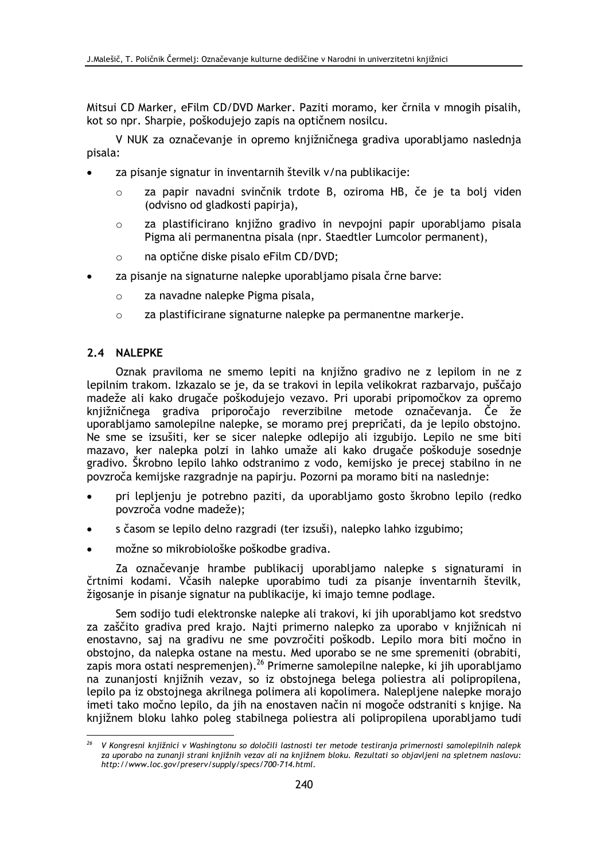Mitsui CD Marker, eFilm CD/DVD Marker. Paziti moramo, ker črnila v mnogih pisalih, kot so npr. Sharpie, poškodujejo zapis na optičnem nosilcu.

V NUK za označevanje in opremo knjižničnega gradiva uporabljamo naslednja pisala:

- za pisanje signatur in inventarnih številk v/na publikacije:
	- za papir navadni svinčnik trdote B, oziroma HB, če je ta bolj viden  $\Omega$ (odvisno od gladkosti papirja),
	- za plastificirano knjižno gradivo in nevpojni papir uporabljamo pisala  $\bigcirc$ Pigma ali permanentna pisala (npr. Staedtler Lumcolor permanent),
	- na optične diske pisalo eFilm CD/DVD;  $\Omega$
- za pisanje na signaturne nalepke uporabljamo pisala črne barve:
	- za navadne nalepke Pigma pisala,  $\circ$
	- za plastificirane signaturne nalepke pa permanentne markerje.  $\circ$

#### 2.4 NALEPKE

Oznak praviloma ne smemo lepiti na knjižno gradivo ne z lepilom in ne z lepilnim trakom. Izkazalo se je, da se trakovi in lepila velikokrat razbarvajo, puščajo madeže ali kako drugače poškodujejo vezavo. Pri uporabi pripomočkov za opremo knjižničnega gradiva priporočajo reverzibilne metode označevanja. Če že uporabljamo samolepilne nalepke, se moramo prej prepričati, da je lepilo obstojno. Ne sme se izsušiti, ker se sicer nalepke odlepijo ali izgubijo. Lepilo ne sme biti mazavo, ker nalepka polzi in lahko umaže ali kako drugače poškoduje sosednje gradivo. Škrobno lepilo lahko odstranimo z vodo, kemijsko je precej stabilno in ne povzroča kemijske razgradnje na papirju. Pozorni pa moramo biti na naslednje:

- pri lepljenju je potrebno paziti, da uporabljamo gosto škrobno lepilo (redko povzroča vodne madeže);
- s časom se lepilo delno razgradi (ter izsuši), nalepko lahko izgubimo;
- možne so mikrobiološke poškodbe gradiva.  $\blacksquare$

Za označevanje hrambe publikacij uporabljamo nalepke s signaturami in črtnimi kodami. Včasih nalepke uporabimo tudi za pisanie inventarnih številk. žigosanje in pisanje signatur na publikacije, ki imajo temne podlage.

Sem sodijo tudi elektronske nalepke ali trakovi, ki jih uporabljamo kot sredstvo za zaščito gradiva pred krajo. Najti primerno nalepko za uporabo v knjižnicah ni enostavno, saj na gradivu ne sme povzročiti poškodb. Lepilo mora biti močno in obstojno, da nalepka ostane na mestu. Med uporabo se ne sme spremeniti (obrabiti, zapis mora ostati nespremenjen).<sup>26</sup> Primerne samolepilne nalepke, ki jih uporabljamo na zunanjosti knjižnih vezav, so iz obstojnega belega poliestra ali polipropilena, lepilo pa iz obstojnega akrilnega polimera ali kopolimera. Nalepljene nalepke morajo imeti tako močno lepilo, da jih na enostaven način ni mogoče odstraniti s knjige. Na knjižnem bloku lahko poleg stabilnega poliestra ali polipropilena uporabljamo tudi

 $26$ V Kongresni knjižnici v Washingtonu so določili lastnosti ter metode testirania primernosti samolepilnih nalepk za uporabo na zunanji strani knjižnih vezav ali na knjižnem bloku. Rezultati so objavljeni na spletnem naslovu: http://www.loc.gov/preserv/supply/specs/700-714.html.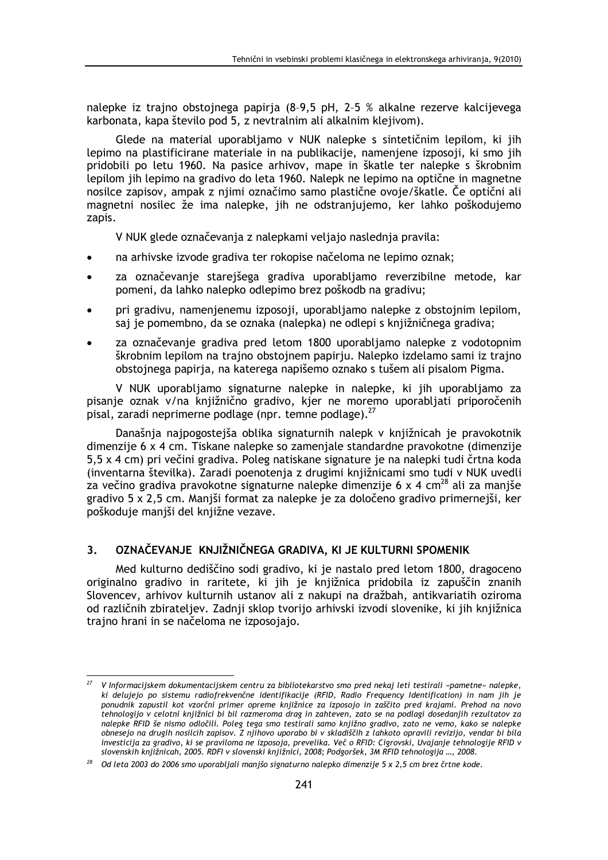nalepke iz trajno obstojnega papirja (8-9,5 pH, 2-5 % alkalne rezerve kalcijevega karbonata, kapa število pod 5, z nevtralnim ali alkalnim klejivom).

Glede na material uporabljamo v NUK nalepke s sintetičnim lepilom, ki jih lepimo na plastificirane materiale in na publikacije, namenjene izposoji, ki smo jih pridobili po letu 1960. Na pasice arhivov, mape in škatle ter nalepke s škrobnim lepilom jih lepimo na gradivo do leta 1960. Nalepk ne lepimo na optične in magnetne nosilce zapisov, ampak z njimi označimo samo plastične ovoje/škatle. Če optični ali magnetni nosilec že ima nalepke, jih ne odstranjujemo, ker lahko poškodujemo zapis.

V NUK glede označevanja z nalepkami veljajo naslednja pravila:

- na arhivske izvode gradiva ter rokopise načeloma ne lepimo oznak;
- za označevanje starejšega gradiva uporabljamo reverzibilne metode, kar pomeni, da lahko nalepko odlepimo brez poškodb na gradivu;
- pri gradivu, namenjenemu izposoji, uporabljamo nalepke z obstojnim lepilom, saj je pomembno, da se oznaka (nalepka) ne odlepi s knjižničnega gradiva;
- za označevanje gradiva pred letom 1800 uporabljamo nalepke z vodotopnim škrobnim lepilom na trajno obstojnem papirju. Nalepko izdelamo sami iz trajno obstojnega papirja, na katerega napišemo oznako s tušem ali pisalom Pigma.

V NUK uporabliamo signaturne nalepke in nalepke, ki jih uporabliamo za pisanje oznak v/na knjižnično gradivo, kjer ne moremo uporabljati priporočenih pisal, zaradi neprimerne podlage (npr. temne podlage).<sup>27</sup>

Današnja najpogostejša oblika signaturnih nalepk v knjižnicah je pravokotnik dimenzije 6 x 4 cm. Tiskane nalepke so zameniale standardne pravokotne (dimenzije 5,5 x 4 cm) pri večini gradiva. Poleg natiskane signature je na nalepki tudi črtna koda (inventarna številka). Zaradi poenotenia z drugimi kniižnicami smo tudi v NUK uvedli za večino gradiva pravokotne signaturne nalepke dimenzije 6 x 4 cm<sup>28</sup> ali za manjše gradivo 5 x 2,5 cm. Maniši format za nalepke je za določeno gradivo primernejši, ker poškoduje maniši del knjižne vezave.

#### OZNAČEVANJE KNJIŽNIČNEGA GRADIVA, KI JE KULTURNI SPOMENIK  $3<sub>1</sub>$

Med kulturno dediščino sodi gradivo, ki je nastalo pred letom 1800, dragoceno originalno gradivo in raritete, ki jih je knjižnica pridobila iz zapuščin znanih Slovencev, arhivov kulturnih ustanov ali z nakupi na dražbah, antikvariatih oziroma od različnih zbirateljev. Zadnji sklop tvorijo arhivski izvodi slovenike, ki jih knjižnica trajno hrani in se načeloma ne izposojajo.

V Informacijskem dokumentacijskem centru za bibliotekarstvo smo pred nekaj leti testirali »pametne« nalepke, ki delujejo po sistemu radiofrekvenčne identifikacije (RFID, Radio Frequency Identification) in nam jih je ponudnik zapustil kot vzorčni primer opreme knjižnice za izposojo in zaščito pred krajami. Prehod na novo .<br>tehnologijo v celotni knjižnici bi bil razmeroma drag in zahteven. zato se na podlagi dosedanjih rezultatov za nalepke RFID še nismo odločili. Poleg tega smo testirali samo knjižno gradivo, zato ne vemo, kako se nalepke obnesejo na drugih nosilcih zapisov. Z njihovo uporabo bi v skladiščih z lahkoto opravili revizijo, vendar bi bila investicija za gradivo, ki se praviloma ne izposoja, prevelika. Več o RFID: Cigrovski, Uvajanje tehnologije RFID v slovenskih knjižnicah, 2005. RDFI v slovenski knjižnici, 2008; Podgoršek, 3M RFID tehnologija ..., 2008.

 $28$  Od leta 2003 do 2006 smo uporabljali manjšo signaturno nalepko dimenzije 5 x 2,5 cm brez črtne kode.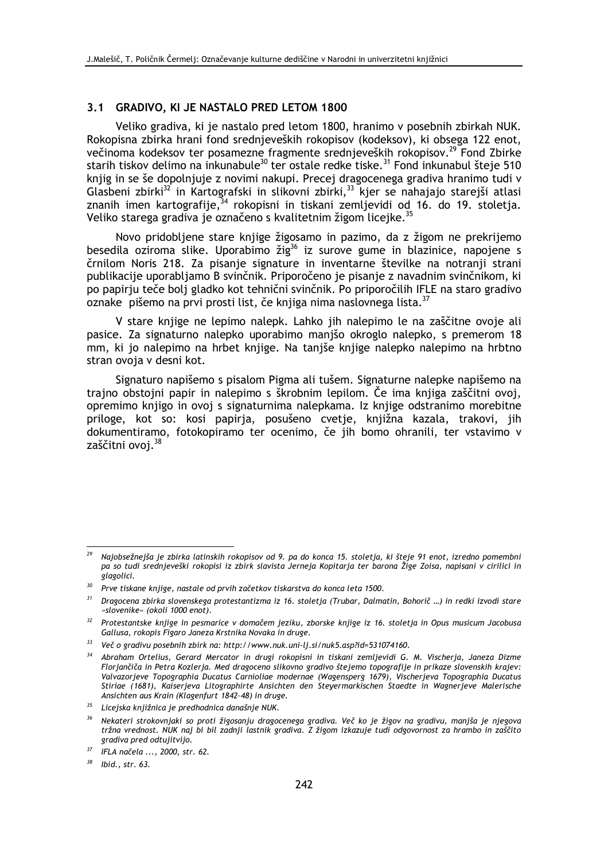#### 3.1 GRADIVO, KI JE NASTALO PRED LETOM 1800

Veliko gradiva, ki je nastalo pred letom 1800, hranimo v posebnih zbirkah NUK. Rokopisna zbirka hrani fond srednjeveških rokopisov (kodeksov), ki obsega 122 enot. večinoma kodeksov ter posamezne fragmente srednjeveških rokopisov.<sup>29</sup> Fond Zbirke starih tiskov delimo na inkunabule<sup>30</sup> ter ostale redke tiske.<sup>31</sup> Fond inkunabul šteje 510 knjig in se še dopolnjuje z novimi nakupi. Precej dragocenega gradiva hranimo tudi v Glasbeni zbirki<sup>32</sup> in Kartografski in slikovni zbirki,<sup>33</sup> kjer se nahajajo starejši atlasi znanih imen kartografije,<sup>34</sup> rokopisni in tiskani zemljevidi od 16. do 19. stoletja. Veliko starega gradiva je označeno s kvalitetnim žigom licejke.<sup>35</sup>

Novo pridobljene stare knjige žigosamo in pazimo, da z žigom ne prekrijemo besedila oziroma slike. Uporabimo žig<sup>36</sup> iz surove gume in blazinice, napojene s črnilom Noris 218. Za pisanje signature in inventarne številke na notranji strani publikacije uporabljamo B svinčnik. Priporočeno je pisanje z navadnim svinčnikom, ki po papirju teče bolj gladko kot tehnični svinčnik. Po priporočilih IFLE na staro gradivo oznake pišemo na prvi prosti list, če knjiga nima naslovnega lista.<sup>37</sup>

V stare knjige ne lepimo nalepk. Lahko jih nalepimo le na zaščitne ovoje ali pasice. Za signaturno nalepko uporabimo manišo okroglo nalepko, s premerom 18 mm, ki jo nalepimo na hrbet knjige. Na tanjše knjige nalepko nalepimo na hrbtno stran ovoja v desni kot.

Signaturo napišemo s pisalom Pigma ali tušem. Signaturne nalepke napišemo na trajno obstojni papir in nalepimo s škrobnim lepilom. Če ima knjiga zaščitni ovoj, opremimo knjigo in ovoj s signaturnima nalepkama. Iz knjige odstranimo morebitne priloge, kot so: kosi papirja, posušeno cvetje, knjižna kazala, trakovi, jih dokumentiramo, fotokopiramo ter ocenimo, če jih bomo ohranili, ter vstavimo v zaščitni ovoj.<sup>38</sup>

<sup>29</sup> Najobsežnejša je zbirka latinskih rokopisov od 9. pa do konca 15. stoletja, ki šteje 91 enot, izredno pomembni pa so tudi srednjeveški rokopisi iz zbirk slavista Jerneja Kopitarja ter barona Žige Zoisa, napisani v cirilici in glagolici.

<sup>&</sup>lt;sup>30</sup> Prve tiskane knjige, nastale od prvih začetkov tiskarstva do konca leta 1500.

<sup>&</sup>lt;sup>31</sup> Dragocena zbirka slovenskega protestantizma iz 16. stoletja (Trubar, Dalmatin, Bohorič ...) in redki izvodi stare »slovenike« (okoli 1000 enot).

<sup>&</sup>lt;sup>32</sup> Protestantske knjige in pesmarice v domačem jeziku, zborske knjige iz 16. stoletja in Opus musicum Jacobusa Gallusa, rokopis Figaro Janeza Krstnika Novaka in druge.

 $33$  Več o gradivu posebnih zbirk na: http://www.nuk.uni-lj.si/nuk5.asp?id=531074160.

 $34$ Abraham Ortelius. Gerard Mercator in drugi rokopisni in tiskani zemlievidi G. M. Vischeria. Janeza Dizme Florjančiča in Petra Kozlerja. Med dragoceno slikovno gradivo štejemo topografije in prikaze slovenskih krajev: Valvazorjeve Topographia Ducatus Carnioliae modernae (Wagensperg 1679), Vischerjeva Topographia Ducatus Stiriae (1681), Kaiserjeva Litographirte Ansichten den Steyermarkischen Staedte in Wagnerjeve Malerische Ansichten aus Krain (Klagenfurt 1842-48) in druge.

<sup>&</sup>lt;sup>35</sup> Licejska knjižnica je predhodnica današnje NUK.

 $36$ Nekateri strokovnjaki so proti žigosanju dragocenega gradiva. Več ko je žigov na gradivu, manjša je njegova tržna vrednost. NUK naj bi bil zadnji lastnik gradiva. Z žigom izkazuje tudi odgovornost za hrambo in zaščito gradiva pred odtujitvijo.

<sup>37</sup> IFLA načela ..., 2000, str. 62.

<sup>38</sup> Ibid., str. 63.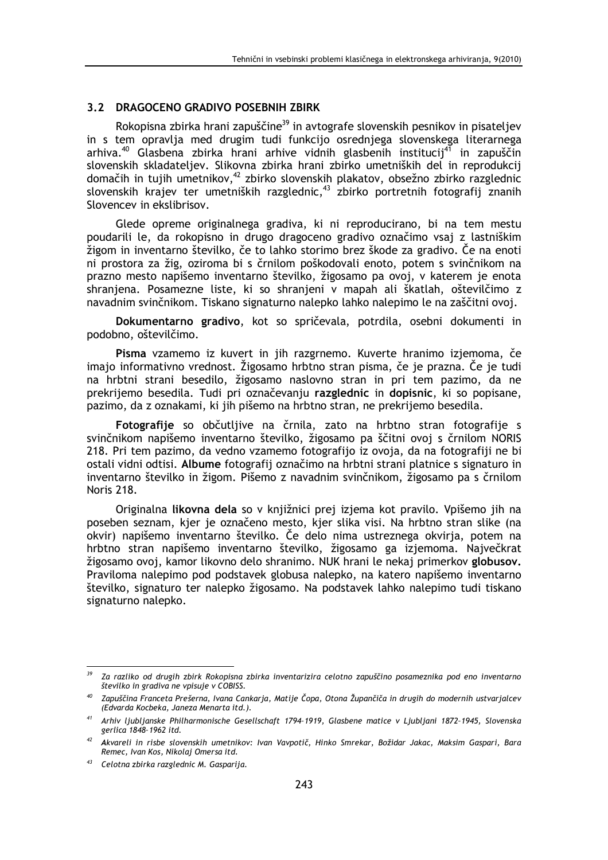#### 3.2 DRAGOCENO GRADIVO POSEBNIH ZBIRK

Rokopisna zbirka hrani zapuščine<sup>39</sup> in avtografe slovenskih pesnikov in pisateljev in s tem opravlja med drugim tudi funkcijo osrednjega slovenskega literarnega arhiva.<sup>40</sup> Glasbena zbirka hrani arhive vidnih glasbenih institucij<sup>41</sup> in zapuščin slovenskih skladateljev. Slikovna zbirka hrani zbirko umetniških del in reprodukcij domačih in tujih umetnikov,<sup>42</sup> zbirko slovenskih plakatov, obsežno zbirko razglednic slovenskih krajev ter umetniških razglednic,<sup>43</sup> zbirko portretnih fotografij znanih Slovencev in ekslibrisov.

Glede opreme originalnega gradiva, ki ni reproducirano, bi na tem mestu poudarili le, da rokopisno in drugo dragoceno gradivo označimo vsaj z lastniškim žigom in inventarno številko, če to lahko storimo brez škode za gradivo. Če na enoti ni prostora za žig, oziroma bi s črnilom poškodovali enoto, potem s svinčnikom na prazno mesto napišemo inventarno številko, žigosamo pa ovoj, v katerem je enota shranjena. Posamezne liste, ki so shranjeni v mapah ali škatlah, oštevilčimo z navadnim svinčnikom. Tiskano signaturno nalepko lahko nalepimo le na zaščitni ovoj.

Dokumentarno gradivo, kot so spričevala, potrdila, osebni dokumenti in podobno, oštevilčimo.

Pisma vzamemo iz kuvert in jih razgrnemo. Kuverte hranimo izjemoma, če imajo informativno vrednost. Žigosamo hrbtno stran pisma, če je prazna. Če je tudi na hrbtni strani besedilo, žigosamo naslovno stran in pri tem pazimo, da ne prekrijemo besedila. Tudi pri označevanju razglednic in dopisnic, ki so popisane, pazimo, da z oznakami, ki jih pišemo na hrbtno stran, ne prekrijemo besedila.

Fotografije so občutljive na črnila, zato na hrbtno stran fotografije s svinčnikom napišemo inventarno številko, žigosamo pa ščitni ovoj s črnilom NORIS 218. Pri tem pazimo, da vedno vzamemo fotografijo iz ovoja, da na fotografiji ne bi ostali vidni odtisi. Albume fotografii označimo na hrbtni strani platnice s signaturo in inventarno številko in žigom. Pišemo z navadnim svinčnikom, žigosamo pa s črnilom **Noris 218.** 

Originalna likovna dela so v knjižnici prej izjema kot pravilo. Vpišemo jih na poseben seznam, kjer je označeno mesto, kjer slika visi. Na hrbtno stran slike (na okvir) napišemo inventarno številko. Če delo nima ustreznega okvirja, potem na hrbtno stran napišemo inventarno številko, žigosamo ga izjemoma. Največkrat žigosamo ovoj, kamor likovno delo shranimo. NUK hrani le nekaj primerkov globusov. Praviloma nalepimo pod podstavek globusa nalepko, na katero napišemo inventarno številko, signaturo ter nalepko žigosamo. Na podstavek lahko nalepimo tudi tiskano signaturno nalepko.

Za razliko od drugih zbirk Rokopisna zbirka inventarizira celotno zapuščino posameznika pod eno inventarno številko in gradiva ne vpisuje v COBISS.

Zapuščina Franceta Prešerna, Ivana Cankarja, Matije Čopa, Otona Župančiča in drugih do modernih ustvarjalcev (Edvarda Kocbeka, Janeza Menarta itd.).

Arhiv ljubljanske Philharmonische Gesellschaft 1794-1919, Glasbene matice v Ljubljani 1872-1945, Slovenska gerlica 1848-1962 itd.

Akvareli in risbe slovenskih umetnikov: Ivan Vavpotič, Hinko Smrekar, Božidar Jakac, Maksim Gaspari, Bara Remec, Ivan Kos, Nikolaj Omersa itd.

<sup>&</sup>lt;sup>43</sup> Celotna zbirka razglednic M. Gasparija.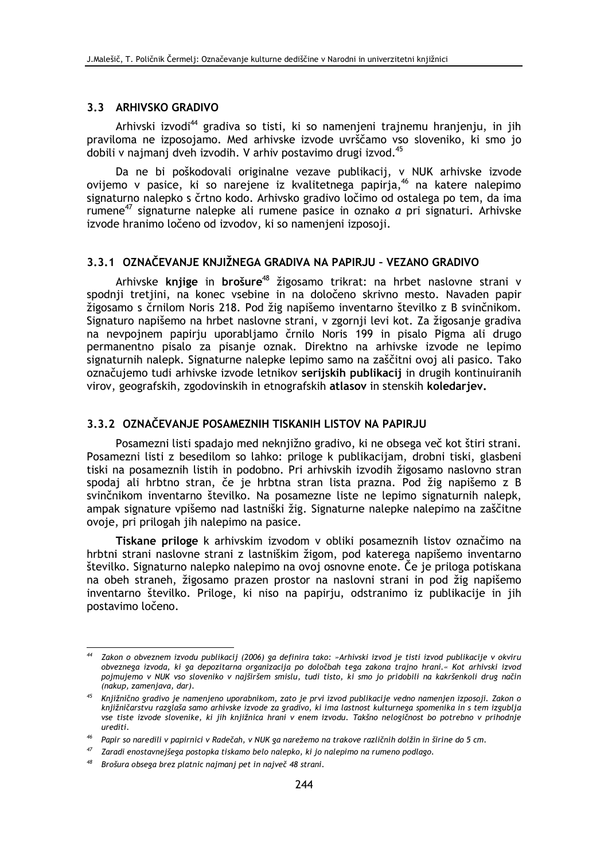#### 3.3 ARHIVSKO GRADIVO

Arhivski izvodi<sup>44</sup> gradiva so tisti, ki so namenjeni trajnemu hranjenju, in jih praviloma ne izposojamo. Med arhivske izvode uvrščamo vso sloveniko, ki smo jo dobili v najmanj dveh izvodih. V arhiv postavimo drugi izvod.<sup>45</sup>

Da ne bi poškodovali originalne vezave publikacij, v NUK arhivske izvode ovijemo v pasice, ki so narejene iz kvalitetnega papirja,<sup>46</sup> na katere nalepimo signaturno nalepko s črtno kodo. Arhivsko gradivo ločimo od ostalega po tem, da ima rumene<sup>47</sup> signaturne nalepke ali rumene pasice in oznako *a* pri signaturi. Arhivske izvode hranimo ločeno od izvodov, ki so namenjeni izposoji.

## 3.3.1 OZNAČEVANJE KNJIŽNEGA GRADIVA NA PAPIRJU - VEZANO GRADIVO

Arhivske knjige in brošure<sup>48</sup> žigosamo trikrat: na hrbet naslovne strani v spodnji tretjini, na konec vsebine in na določeno skrivno mesto. Navaden papir žigosamo s črnilom Noris 218. Pod žig napišemo inventarno številko z B svinčnikom. Signaturo napišemo na hrbet naslovne strani, v zgornji levi kot. Za žigosanje gradiva na nevpojnem papirju uporabljamo črnilo Noris 199 in pisalo Pigma ali drugo permanentno pisalo za pisanje oznak. Direktno na arhivske izvode ne lepimo signaturnih nalepk. Signaturne nalepke lepimo samo na zaščitni ovoj ali pasico. Tako označujemo tudi arhivske izvode letnikov serijskih publikacij in drugih kontinuiranih virov, geografskih, zgodovinskih in etnografskih atlasov in stenskih koledariev.

#### 3.3.2 OZNAČEVANJE POSAMEZNIH TISKANIH LISTOV NA PAPIRJU

Posamezni listi spadajo med neknjižno gradivo, ki ne obsega več kot štiri strani. Posamezni listi z besedilom so lahko: priloge k publikacijam, drobni tiski, glasbeni tiski na posameznih listih in podobno. Pri arhivskih izvodih žigosamo naslovno stran spodaj ali hrbtno stran, če je hrbtna stran lista prazna. Pod žig napišemo z B svinčnikom inventarno številko. Na posamezne liste ne lepimo signaturnih nalepk. ampak signature vpišemo nad lastniški žig. Signaturne nalepke nalepimo na zaščitne ovoje, pri prilogah jih nalepimo na pasice.

Tiskane priloge k arhivskim izvodom v obliki posameznih listov označimo na hrbtni strani naslovne strani z lastniškim žigom, pod katerega napišemo inventarno številko. Signaturno nalepko nalepimo na ovoj osnovne enote. Če je priloga potiskana na obeh straneh, žigosamo prazen prostor na naslovni strani in pod žig napišemo inventarno številko. Priloge, ki niso na papirju, odstranimo iz publikacije in jih postavimo ločeno.

 $44$ Zakon o obveznem izvodu publikacii (2006) ga definira tako: »Arhivski izvod je tisti izvod publikacije v okviru obveznega izvoda, ki ga depozitarna organizacija po določbah tega zakona trajno hrani.« Kot arhivski izvod pojmujemo v NUK vso sloveniko v najširšem smislu, tudi tisto, ki smo jo pridobili na kakršenkoli drug način r<br>(nakup, zamenjava, dar).

 $^{45}$  Knjižnično gradivo je namenjeno uporabnikom, zato je prvi izvod publikacije vedno namenjen izposoji. Zakon o knjižničarstvu razglaša samo arhivske izvode za gradivo, ki ima lastnost kulturnega spomenika in s tem izgublja vse tiste izvode slovenike, ki jih knjižnica hrani v enem izvodu. Takšno nelogičnost bo potrebno v prihodnje urediti

<sup>&</sup>lt;sup>46</sup> Papir so naredili v papirnici v Radečah, v NUK ga narežemo na trakove različnih dolžin in širine do 5 cm.

<sup>&</sup>lt;sup>47</sup> Zaradi enostavnejšega postopka tiskamo belo nalepko, ki jo nalepimo na rumeno podlago.

Brošura obsega brez platnic najmanj pet in največ 48 strani.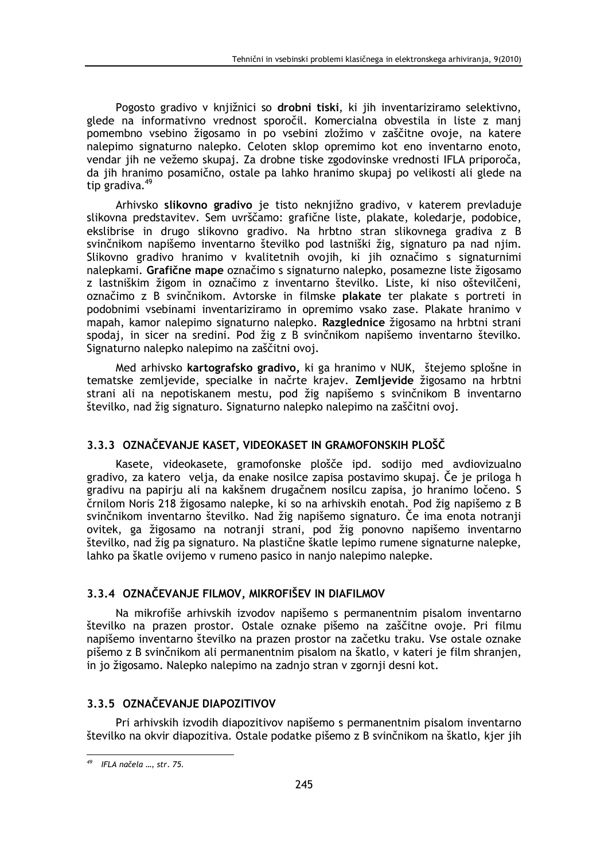Pogosto gradivo v knjižnici so drobni tiski, ki jih inventariziramo selektivno, glede na informativno vrednost sporočil. Komercialna obvestila in liste z manj pomembno vsebino žigosamo in po vsebini zložimo v zaščitne ovoje, na katere nalepimo signaturno nalepko. Celoten sklop opremimo kot eno inventarno enoto, vendar jih ne vežemo skupaj. Za drobne tiske zgodovinske vrednosti IFLA priporoča, da jih hranimo posamično, ostale pa lahko hranimo skupaj po velikosti ali glede na tip gradiva.<sup>49</sup>

Arhivsko slikovno gradivo je tisto neknjižno gradivo, v katerem prevladuje slikovna predstavitev. Sem uvrščamo: grafične liste, plakate, koledarje, podobice, ekslibrise in drugo slikovno gradivo. Na hrbtno stran slikovnega gradiva z B svinčnikom napišemo inventarno številko pod lastniški žig, signaturo pa nad njim. Slikovno gradivo hranimo v kvalitetnih ovojih, ki jih označimo s signaturnimi nalepkami. Grafične mape označimo s signaturno nalepko, posamezne liste žigosamo z lastniškim žigom in označimo z inventarno številko. Liste, ki niso oštevilčeni, označimo z B svinčnikom. Avtorske in filmske plakate ter plakate s portreti in podobnimi vsebinami inventariziramo in opremimo vsako zase. Plakate hranimo v mapah, kamor nalepimo signaturno nalepko. Razglednice žigosamo na hrbtni strani spodaj, in sicer na sredini. Pod žig z B svinčnikom napišemo inventarno številko. Signaturno nalepko nalepimo na zaščitni ovoj.

Med arhivsko kartografsko gradivo, ki ga hranimo v NUK, štejemo splošne in tematske zemljevide, specialke in načrte krajev. Zemljevide žigosamo na hrbtni strani ali na nepotiskanem mestu, pod žig napišemo s svinčnikom B inventarno številko. nad žig signaturo. Signaturno nalepko nalepimo na zaščitni ovoj.

# 3.3.3 OZNAČEVANJE KASET, VIDEOKASET IN GRAMOFONSKIH PLOŠČ

Kasete, videokasete, gramofonske plošče ipd, sodijo med avdiovizualno gradivo, za katero velja, da enake nosilce zapisa postavimo skupaj. Če je priloga h gradivu na papiriu ali na kakšnem drugačnem nosilcu zapisa, jo hranimo ločeno. S črnilom Noris 218 žigosamo nalepke, ki so na arhivskih enotah. Pod žig napišemo z B svinčnikom inventarno številko. Nad žig napišemo signaturo. Če ima enota notranji ovitek, ga žigosamo na notranji strani, pod žig ponovno napišemo inventarno številko, nad žig pa signaturo. Na plastične škatle lepimo rumene signaturne nalepke, lahko pa škatle ovijemo v rumeno pasico in nanjo nalepimo nalepke.

# 3.3.4 OZNAČEVANJE FILMOV, MIKROFIŠEV IN DIAFILMOV

Na mikrofiše arhivskih izvodov napišemo s permanentnim pisalom inventarno številko na prazen prostor. Ostale oznake pišemo na zaščitne ovoje. Pri filmu napišemo inventarno številko na prazen prostor na začetku traku. Vse ostale oznake pišemo z B svinčnikom ali permanentnim pisalom na škatlo, v kateri je film shranjen, in jo žigosamo. Nalepko nalepimo na zadnjo stran v zgornji desni kot.

# 3.3.5 OZNAČEVANJE DIAPOZITIVOV

Pri arhivskih izvodih diapozitivov napišemo s permanentnim pisalom inventarno številko na okvir diapozitiva. Ostale podatke pišemo z B svinčnikom na škatlo, kjer jih

<sup>&</sup>lt;sup>49</sup> IFLA načela ..., str. 75.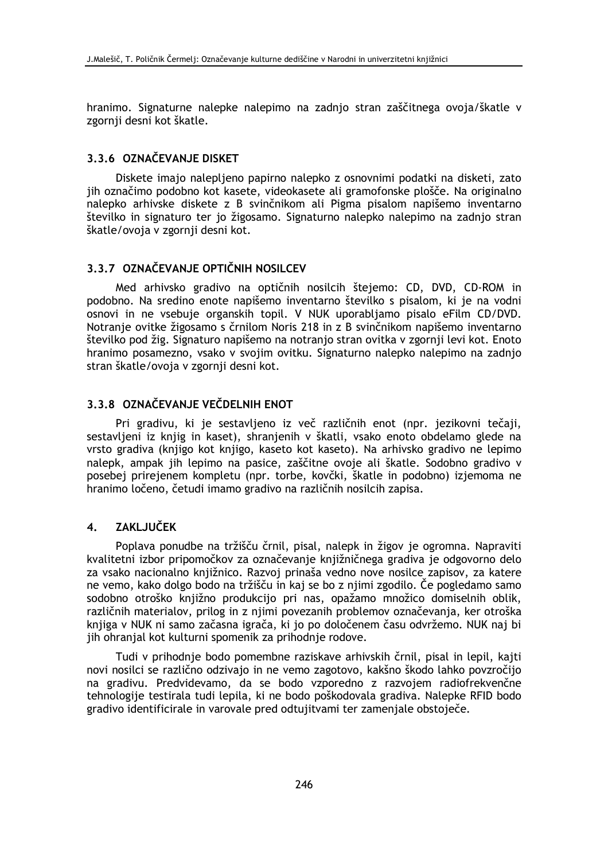hranimo. Signaturne nalepke nalepimo na zadnjo stran zaščitnega ovoja/škatle v zgornji desni kot škatle.

## 3.3.6 OZNAČEVANJE DISKET

Diskete imajo nalepljeno papirno nalepko z osnovnimi podatki na disketi, zato jih označimo podobno kot kasete, videokasete ali gramofonske plošče. Na originalno nalepko arhivske diskete z B svinčnikom ali Pigma pisalom napišemo inventarno številko in signaturo ter jo žigosamo. Signaturno nalepko nalepimo na zadnjo stran škatle/ovoja v zgornji desni kot.

## 3.3.7 OZNAČEVANJE OPTIČNIH NOSILCEV

Med arhivsko gradivo na optičnih nosilcih štejemo: CD, DVD, CD-ROM in podobno. Na sredino enote napišemo inventarno številko s pisalom, ki je na vodni osnovi in ne vsebuje organskih topil. V NUK uporabljamo pisalo eFilm CD/DVD. Notranje ovitke žigosamo s črnilom Noris 218 in z B svinčnikom napišemo inventarno številko pod žig. Signaturo napišemo na notranjo stran ovitka v zgornji levi kot. Enoto hranimo posamezno, vsako v svojim ovitku. Signaturno nalepko nalepimo na zadnjo stran škatle/ovoja v zgornji desni kot.

## 3.3.8 OZNAČEVANJE VEČDELNIH ENOT

Pri gradivu, ki je sestavljeno iz več različnih enot (npr. jezikovni tečaji, sestavljeni iz knjig in kaset), shranjenih v škatli, vsako enoto obdelamo glede na vrsto gradiva (knjigo kot knjigo, kaseto kot kaseto). Na arhivsko gradivo ne lepimo nalepk, ampak jih lepimo na pasice, zaščitne ovoje ali škatle. Sodobno gradivo v posebej prirejenem kompletu (npr. torbe, kovčki, škatle in podobno) iziemoma ne hranimo ločeno, četudi imamo gradivo na različnih nosilcih zapisa.

#### **ZAKLJUČEK**  $\overline{\mathbf{4}}$ .

Poplava ponudbe na tržišču črnil, pisal, nalepk in žigov je ogromna. Napraviti kvalitetni izbor pripomočkov za označevanje knjižničnega gradiva je odgovorno delo za vsako nacionalno knjižnico. Razvoj prinaša vedno nove nosilce zapisov, za katere ne vemo, kako dolgo bodo na tržišču in kaj se bo z njimi zgodilo. Če pogledamo samo sodobno otroško knjižno produkcijo pri nas, opažamo množico domiselnih oblik, različnih materialov, prilog in z njimi povezanih problemov označevanja, ker otroška knjiga v NUK ni samo začasna igrača, ki jo po določenem času odvržemo. NUK naj bi jih ohranjal kot kulturni spomenik za prihodnje rodove.

Tudi v prihodnje bodo pomembne raziskave arhivskih črnil, pisal in lepil, kajti novi nosilci se različno odzivajo in ne vemo zagotovo, kakšno škodo lahko povzročijo na gradivu. Predvidevamo, da se bodo vzporedno z razvojem radiofrekvenčne tehnologije testirala tudi lepila, ki ne bodo poškodovala gradiva. Nalepke RFID bodo gradivo identificirale in varovale pred odtujitvami ter zamenjale obstoječe.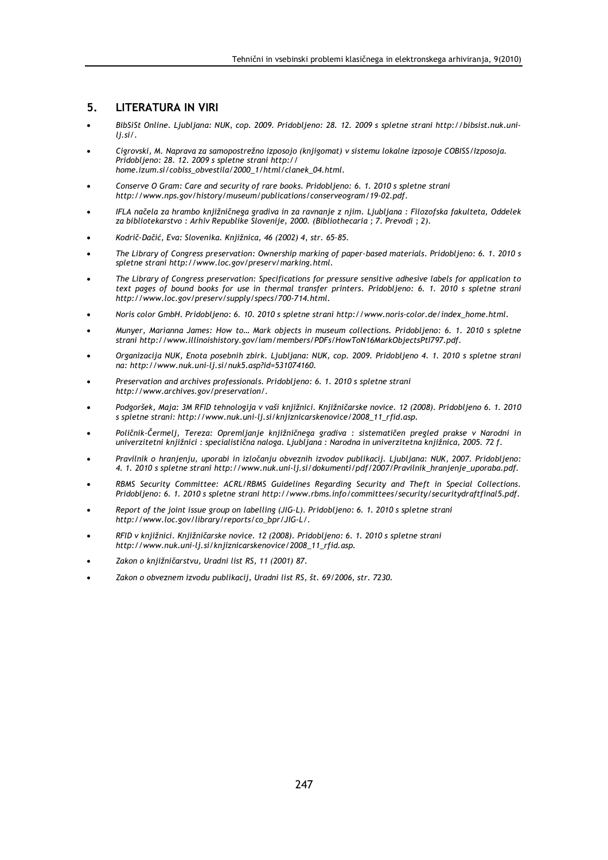#### 5. **LITERATURA IN VIRI**

- BibSiSt Online. Ljubljana: NUK, cop. 2009. Pridobljeno: 28. 12. 2009 s spletne strani http://bibsist.nuk.uni $l$ *j*.si $/$ .
- Cigrovski, M. Naprava za samopostrežno izposojo (knjigomat) v sistemu lokalne izposoje COBISS/Izposoja. Pridobljeno: 28. 12. 2009 s spletne strani http:// home.izum.si/cobiss\_obvestila/2000\_1/html/clanek\_04.html.
- Conserve O Gram: Care and security of rare books. Pridobljeno: 6. 1. 2010 s spletne strani http://www.nps.gov/history/museum/publications/conserveogram/19-02.pdf.
- IFLA načela za hrambo knjižničnega gradiva in za ravnanje z njim. Ljubljana : Filozofska fakulteta, Oddelek za bibliotekarstvo: Arhiv Republike Slovenije, 2000. (Bibliothecaria ; 7. Prevodi ; 2).
- Kodrič-Dačić, Eva: Slovenika. Knjižnica, 46 (2002) 4, str. 65-85.
- The Library of Congress preservation: Ownership marking of paper-based materials. Pridobljeno: 6. 1. 2010 s spletne strani http://www.loc.gov/preserv/marking.html.
- The Library of Congress preservation: Specifications for pressure sensitive adhesive labels for application to text pages of bound books for use in thermal transfer printers. Pridobljeno: 6. 1. 2010 s spletne strani http://www.loc.gov/preserv/supply/specs/700-714.html.
- Noris color GmbH. Pridobljeno: 6. 10. 2010 s spletne strani http://www.noris-color.de/index\_home.html.
- Munyer, Marianna James: How to... Mark objects in museum collections. Pridobljeno: 6. 1. 2010 s spletne strani http://www.illinoishistory.gov/iam/members/PDFs/HowToN16MarkObjectsPtI797.pdf.
- Organizacija NUK, Enota posebnih zbirk. Ljubljana: NUK, cop. 2009. Pridobljeno 4. 1. 2010 s spletne strani na: http://www.nuk.uni-lj.si/nuk5.asp?id=531074160.
- Preservation and archives professionals. Pridobljeno: 6. 1. 2010 s spletne strani http://www.archives.gov/preservation/.
- Podgoršek, Maja: 3M RFID tehnologija v vaši knjižnici. Knjižničarske novice. 12 (2008). Pridobljeno 6. 1. 2010 s spletne strani: http://www.nuk.uni-lj.si/knjiznicarskenovice/2008\_11\_rfid.asp.
- Poličnik-Čermelj, Tereza: Opremljanje knjižničnega gradiva : sistematičen pregled prakse v Narodni in univerzitetni knjižnici : specialistična naloga. Ljubljana : Narodna in univerzitetna knjižnica, 2005. 72 f.
- Pravilnik o hranjenju, uporabi in izločanju obveznih izvodov publikacij. Ljubljana: NUK, 2007. Pridobljeno: 4. 1. 2010 s spletne strani http://www.nuk.uni-lj.si/dokumenti/pdf/2007/Pravilnik\_hranjenje\_uporaba.pdf.
- RBMS Security Committee: ACRL/RBMS Guidelines Regarding Security and Theft in Special Collections. Pridobljeno: 6. 1. 2010 s spletne strani http://www.rbms.info/committees/security/securitydraftfinal5.pdf.
- Report of the joint issue group on labelling (JIG-L). Pridobljeno: 6. 1. 2010 s spletne strani http://www.loc.gov/library/reports/co\_bpr/JIG-L/.
- RFID v knjižnici. Knjižničarske novice. 12 (2008). Pridobljeno: 6. 1. 2010 s spletne strani http://www.nuk.uni-lj.si/knjiznicarskenovice/2008\_11\_rfid.asp.
- Zakon o knjižničarstvu, Uradni list RS, 11 (2001) 87.
- Zakon o obveznem izvodu publikacij, Uradni list RS, št. 69/2006, str. 7230.